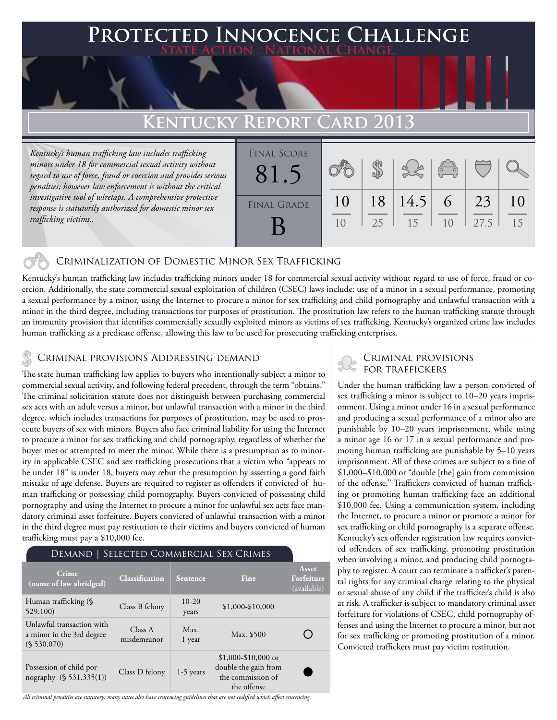### **Protected Innocence Challenge State Action . National Change.**

# **Kentucky Report Card 2013**

*Kentucky's human trafficking law includes trafficking minors under 18 for commercial sexual activity without regard to use of force, fraud or coercion and provides serious penalties; however law enforcement is without the critical investigative tool of wiretaps. A comprehensive protective response is statutorily authorized for domestic minor sex trafficking victims..* 

| <b>FINAL SCORE</b><br>81.5 |    |    |      | $\sqrt{\frac{1}{10}}$ |      |    |
|----------------------------|----|----|------|-----------------------|------|----|
| <b>FINAL GRADE</b>         | 10 | 18 | 14.5 | 6                     | 23   | 10 |
|                            | 10 | 25 | 15   | 10                    | 27.5 | 15 |

### Criminalization of Domestic Minor Sex Trafficking

Kentucky's human trafficking law includes trafficking minors under 18 for commercial sexual activity without regard to use of force, fraud or coercion. Additionally, the state commercial sexual exploitation of children (CSEC) laws include: use of a minor in a sexual performance, promoting a sexual performance by a minor, using the Internet to procure a minor for sex trafficking and child pornography and unlawful transaction with a minor in the third degree, including transactions for purposes of prostitution. The prostitution law refers to the human trafficking statute through an immunity provision that identifies commercially sexually exploited minors as victims of sex trafficking. Kentucky's organized crime law includes human trafficking as a predicate offense, allowing this law to be used for prosecuting trafficking enterprises.

## CRIMINAL PROVISIONS ADDRESSING DEMAND<br>FOR TRAFFICKERS & ROBOTRAFFICKERS

The state human trafficking law applies to buyers who intentionally subject a minor to commercial sexual activity, and following federal precedent, through the term "obtains." The criminal solicitation statute does not distinguish between purchasing commercial sex acts with an adult versus a minor, but unlawful transaction with a minor in the third degree, which includes transactions for purposes of prostitution, may be used to prosecute buyers of sex with minors. Buyers also face criminal liability for using the Internet to procure a minor for sex trafficking and child pornography, regardless of whether the buyer met or attempted to meet the minor. While there is a presumption as to minority in applicable CSEC and sex trafficking prosecutions that a victim who "appears to be under 18" is under 18, buyers may rebut the presumption by asserting a good faith mistake of age defense. Buyers are required to register as offenders if convicted of human trafficking or possessing child pornography. Buyers convicted of possessing child pornography and using the Internet to procure a minor for unlawful sex acts face mandatory criminal asset forfeiture. Buyers convicted of unlawful transaction with a minor in the third degree must pay restitution to their victims and buyers convicted of human trafficking must pay a \$10,000 fee.

| DEMAND   SELECTED COMMERCIAL SEX CRIMES                               |                        |                  |                                                                                  |                                    |  |  |
|-----------------------------------------------------------------------|------------------------|------------------|----------------------------------------------------------------------------------|------------------------------------|--|--|
| Crime<br>(name of law abridged)                                       | <b>Classification</b>  | Sentence         | Fine                                                                             | Asset<br>Forfeiture<br>(available) |  |  |
| Human trafficking (§<br>529.100)                                      | Class B felony         | $10-20$<br>years | \$1,000-\$10,000                                                                 |                                    |  |  |
| Unlawful transaction with<br>a minor in the 3rd degree<br>(S 530.070) | Class A<br>misdemeanor | Max.<br>1 year   | Max. \$500                                                                       |                                    |  |  |
| Possession of child por-<br>nography (§ 531.335(1))                   | Class D felony         | $1-5$ years      | $$1,000-\$10,000$ or<br>double the gain from<br>the commission of<br>the offense |                                    |  |  |

# Criminal provisions

Under the human trafficking law a person convicted of sex trafficking a minor is subject to 10–20 years imprisonment. Using a minor under 16 in a sexual performance and producing a sexual performance of a minor also are punishable by 10–20 years imprisonment, while using a minor age 16 or 17 in a sexual performance and promoting human trafficking are punishable by 5–10 years imprisonment. All of these crimes are subject to a fine of \$1,000–\$10,000 or "double [the] gain from commission of the offense." Traffickers convicted of human trafficking or promoting human trafficking face an additional \$10,000 fee. Using a communication system, including the Internet, to procure a minor or promote a minor for sex trafficking or child pornography is a separate offense. Kentucky's sex offender registration law requires convicted offenders of sex trafficking, promoting prostitution when involving a minor, and producing child pornography to register. A court can terminate a trafficker's parental rights for any criminal charge relating to the physical or sexual abuse of any child if the trafficker's child is also at risk. A trafficker is subject to mandatory criminal asset forfeiture for violations of CSEC, child pornography offenses and using the Internet to procure a minor, but not for sex trafficking or promoting prostitution of a minor. Convicted traffickers must pay victim restitution.

*All criminal penalties are statutory; many states also have sentencing guidelines that are not codified which affect sentencing.*